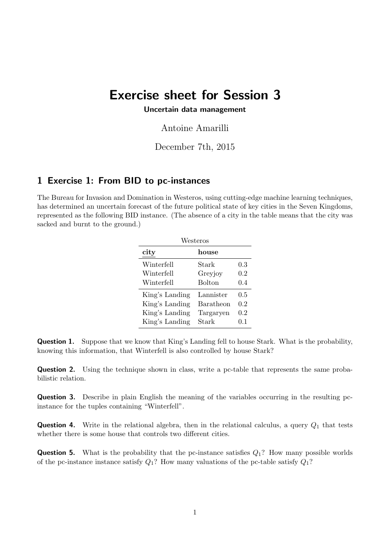# Exercise sheet for Session 3

#### Uncertain data management

Antoine Amarilli

## December 7th, 2015

### 1 Exercise 1: From BID to pc-instances

The Bureau for Invasion and Domination in Westeros, using cutting-edge machine learning techniques, has determined an uncertain forecast of the future political state of key cities in the Seven Kingdoms, represented as the following BID instance. (The absence of a city in the table means that the city was sacked and burnt to the ground.)

| Westeros       |               |     |  |  |
|----------------|---------------|-----|--|--|
| city           | house         |     |  |  |
| Winterfell     | Stark         | 0.3 |  |  |
| Winterfell     | Greyjoy       | 0.2 |  |  |
| Winterfell     | <b>Bolton</b> | 0.4 |  |  |
| King's Landing | Lannister     | 0.5 |  |  |
| King's Landing | Baratheon     | 0.2 |  |  |
| King's Landing | Targaryen     | 0.2 |  |  |
| King's Landing | Stark         | 0.1 |  |  |

**Question 1.** Suppose that we know that King's Landing fell to house Stark. What is the probability, knowing this information, that Winterfell is also controlled by house Stark?

Question 2. Using the technique shown in class, write a pc-table that represents the same probabilistic relation.

Question 3. Describe in plain English the meaning of the variables occurring in the resulting pcinstance for the tuples containing "Winterfell".

**Question 4.** Write in the relational algebra, then in the relational calculus, a query  $Q_1$  that tests whether there is some house that controls two different cities.

**Question 5.** What is the probability that the pc-instance satisfies  $Q_1$ ? How many possible worlds of the pc-instance instance satisfy  $Q_1$ ? How many valuations of the pc-table satisfy  $Q_1$ ?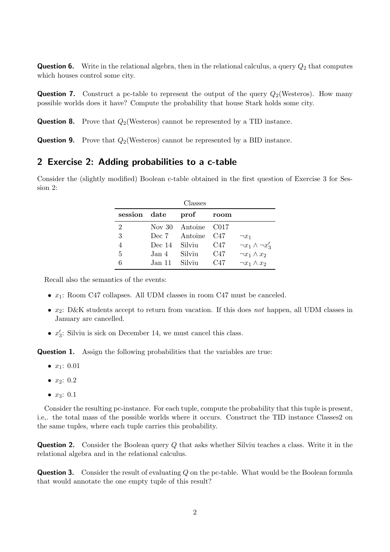**Question 6.** Write in the relational algebra, then in the relational calculus, a query  $Q_2$  that computes which houses control some city.

**Question 7.** Construct a pc-table to represent the output of the query  $Q_2$ (Westeros). How many possible worlds does it have? Compute the probability that house Stark holds some city.

**Question 8.** Prove that  $Q_2$ (Westeros) cannot be represented by a TID instance.

**Question 9.** Prove that  $Q_2$ (Westeros) cannot be represented by a BID instance.

#### 2 Exercise 2: Adding probabilities to a c-table

Consider the (slightly modified) Boolean c-table obtained in the first question of Exercise 3 for Session 2:

| Classes      |               |                     |      |                             |  |
|--------------|---------------|---------------------|------|-----------------------------|--|
| session date |               | prof                | room |                             |  |
| 2            |               | Nov 30 Antoine C017 |      |                             |  |
| 3            |               | Dec 7 Antoine C47   |      | $\neg x_1$                  |  |
|              | Dec 14 Silviu |                     | C47  | $\neg x_1 \wedge \neg x_3'$ |  |
| 5            | Jan 4.        | Silviu              | C47  | $\neg x_1 \wedge x_2$       |  |
| 6            | Jan 11 Silviu |                     | C47  | $\neg x_1 \wedge x_2$       |  |

Recall also the semantics of the events:

- $x_1$ : Room C47 collapses. All UDM classes in room C47 must be canceled.
- $x_2$ : D&K students accept to return from vacation. If this does not happen, all UDM classes in January are cancelled.
- $x'_3$ : Silviu is sick on December 14, we must cancel this class.

Question 1. Assign the following probabilities that the variables are true:

- $x_1: 0.01$
- $x_2: 0.2$
- $x_3: 0.1$

Consider the resulting pc-instance. For each tuple, compute the probability that this tuple is present, i.e,. the total mass of the possible worlds where it occurs. Construct the TID instance Classes2 on the same tuples, where each tuple carries this probability.

**Question 2.** Consider the Boolean query Q that asks whether Silviu teaches a class. Write it in the relational algebra and in the relational calculus.

**Question 3.** Consider the result of evaluating Q on the pc-table. What would be the Boolean formula that would annotate the one empty tuple of this result?